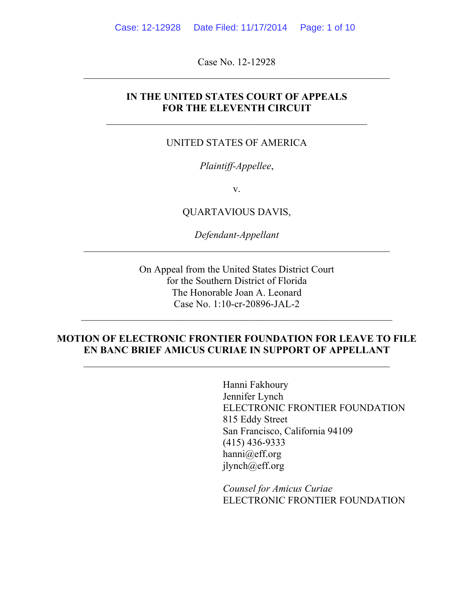Case No. 12-12928

### **IN THE UNITED STATES COURT OF APPEALS FOR THE ELEVENTH CIRCUIT**

 $\mathcal{L}_\text{max} = \mathcal{L}_\text{max} = \mathcal{L}_\text{max} = \mathcal{L}_\text{max} = \mathcal{L}_\text{max} = \mathcal{L}_\text{max} = \mathcal{L}_\text{max} = \mathcal{L}_\text{max} = \mathcal{L}_\text{max} = \mathcal{L}_\text{max} = \mathcal{L}_\text{max} = \mathcal{L}_\text{max} = \mathcal{L}_\text{max} = \mathcal{L}_\text{max} = \mathcal{L}_\text{max} = \mathcal{L}_\text{max} = \mathcal{L}_\text{max} = \mathcal{L}_\text{max} = \mathcal{$ 

#### UNITED STATES OF AMERICA

### *Plaintiff-Appellee*,

v.

QUARTAVIOUS DAVIS,

*Defendant-Appellant*

On Appeal from the United States District Court for the Southern District of Florida The Honorable Joan A. Leonard Case No. 1:10-cr-20896-JAL-2

 $\mathcal{L}_\text{max} = \mathcal{L}_\text{max} = \mathcal{L}_\text{max} = \mathcal{L}_\text{max} = \mathcal{L}_\text{max} = \mathcal{L}_\text{max} = \mathcal{L}_\text{max} = \mathcal{L}_\text{max} = \mathcal{L}_\text{max} = \mathcal{L}_\text{max} = \mathcal{L}_\text{max} = \mathcal{L}_\text{max} = \mathcal{L}_\text{max} = \mathcal{L}_\text{max} = \mathcal{L}_\text{max} = \mathcal{L}_\text{max} = \mathcal{L}_\text{max} = \mathcal{L}_\text{max} = \mathcal{$ 

### **MOTION OF ELECTRONIC FRONTIER FOUNDATION FOR LEAVE TO FILE EN BANC BRIEF AMICUS CURIAE IN SUPPORT OF APPELLANT**

Hanni Fakhoury Jennifer Lynch ELECTRONIC FRONTIER FOUNDATION 815 Eddy Street San Francisco, California 94109 (415) 436-9333 hanni@eff.org jlynch@eff.org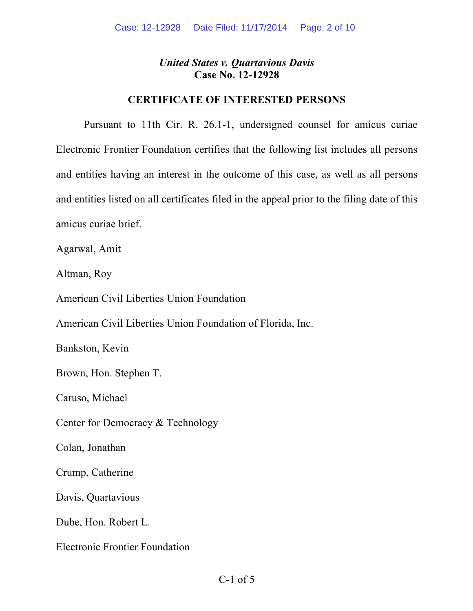## **CERTIFICATE OF INTERESTED PERSONS**

Pursuant to 11th Cir. R. 26.1-1, undersigned counsel for amicus curiae Electronic Frontier Foundation certifies that the following list includes all persons and entities having an interest in the outcome of this case, as well as all persons and entities listed on all certificates filed in the appeal prior to the filing date of this amicus curiae brief.

Agarwal, Amit

Altman, Roy

American Civil Liberties Union Foundation

American Civil Liberties Union Foundation of Florida, Inc.

Bankston, Kevin

Brown, Hon. Stephen T.

Caruso, Michael

Center for Democracy & Technology

Colan, Jonathan

Crump, Catherine

Davis, Quartavious

Dube, Hon. Robert L.

Electronic Frontier Foundation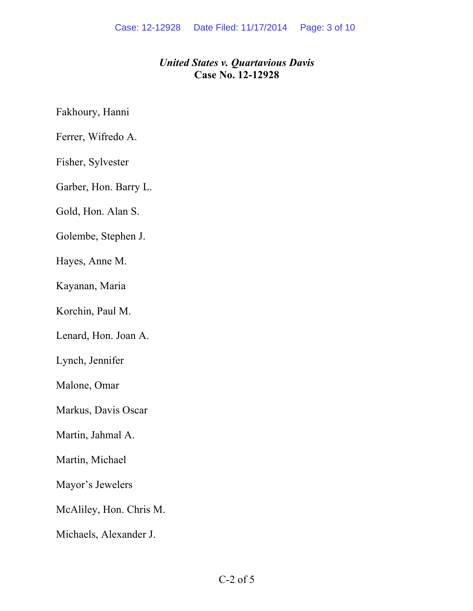Fakhoury, Hanni

Ferrer, Wifredo A.

Fisher, Sylvester

Garber, Hon. Barry L.

Gold, Hon. Alan S.

Golembe, Stephen J.

Hayes, Anne M.

Kayanan, Maria

Korchin, Paul M.

Lenard, Hon. Joan A.

Lynch, Jennifer

Malone, Omar

Markus, Davis Oscar

Martin, Jahmal A.

Martin, Michael

Mayor's Jewelers

McAliley, Hon. Chris M.

Michaels, Alexander J.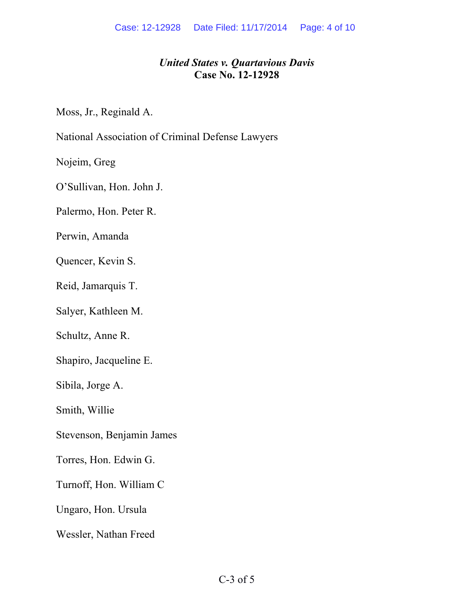Moss, Jr., Reginald A.

National Association of Criminal Defense Lawyers

Nojeim, Greg

O'Sullivan, Hon. John J.

Palermo, Hon. Peter R.

Perwin, Amanda

Quencer, Kevin S.

Reid, Jamarquis T.

Salyer, Kathleen M.

Schultz, Anne R.

Shapiro, Jacqueline E.

Sibila, Jorge A.

Smith, Willie

Stevenson, Benjamin James

Torres, Hon. Edwin G.

Turnoff, Hon. William C

Ungaro, Hon. Ursula

Wessler, Nathan Freed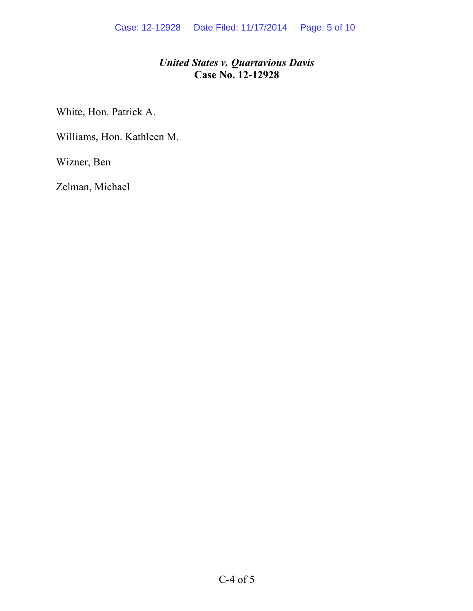White, Hon. Patrick A.

Williams, Hon. Kathleen M.

Wizner, Ben

Zelman, Michael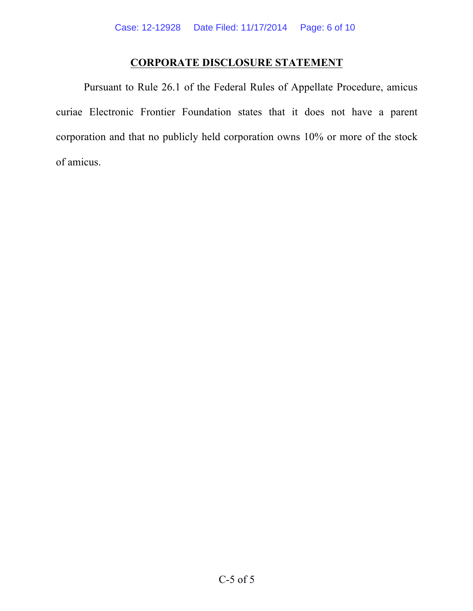## **CORPORATE DISCLOSURE STATEMENT**

Pursuant to Rule 26.1 of the Federal Rules of Appellate Procedure, amicus curiae Electronic Frontier Foundation states that it does not have a parent corporation and that no publicly held corporation owns 10% or more of the stock of amicus.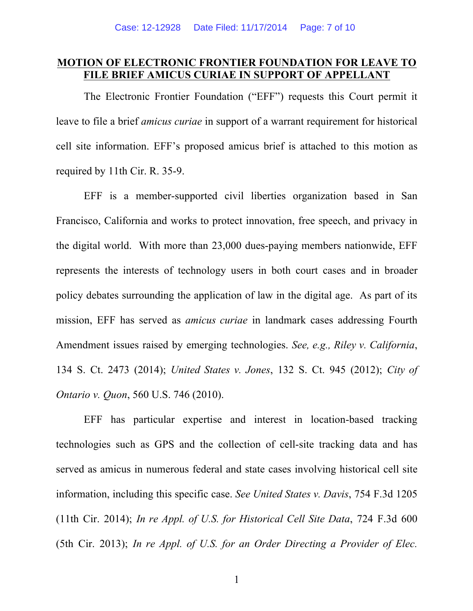## **MOTION OF ELECTRONIC FRONTIER FOUNDATION FOR LEAVE TO FILE BRIEF AMICUS CURIAE IN SUPPORT OF APPELLANT**

The Electronic Frontier Foundation ("EFF") requests this Court permit it leave to file a brief *amicus curiae* in support of a warrant requirement for historical cell site information. EFF's proposed amicus brief is attached to this motion as required by 11th Cir. R. 35-9.

EFF is a member-supported civil liberties organization based in San Francisco, California and works to protect innovation, free speech, and privacy in the digital world. With more than 23,000 dues-paying members nationwide, EFF represents the interests of technology users in both court cases and in broader policy debates surrounding the application of law in the digital age. As part of its mission, EFF has served as *amicus curiae* in landmark cases addressing Fourth Amendment issues raised by emerging technologies. *See, e.g., Riley v. California*, 134 S. Ct. 2473 (2014); *United States v. Jones*, 132 S. Ct. 945 (2012); *City of Ontario v. Quon*, 560 U.S. 746 (2010).

EFF has particular expertise and interest in location-based tracking technologies such as GPS and the collection of cell-site tracking data and has served as amicus in numerous federal and state cases involving historical cell site information, including this specific case. *See United States v. Davis*, 754 F.3d 1205 (11th Cir. 2014); *In re Appl. of U.S. for Historical Cell Site Data*, 724 F.3d 600 (5th Cir. 2013); *In re Appl. of U.S. for an Order Directing a Provider of Elec.* 

<sup>1</sup>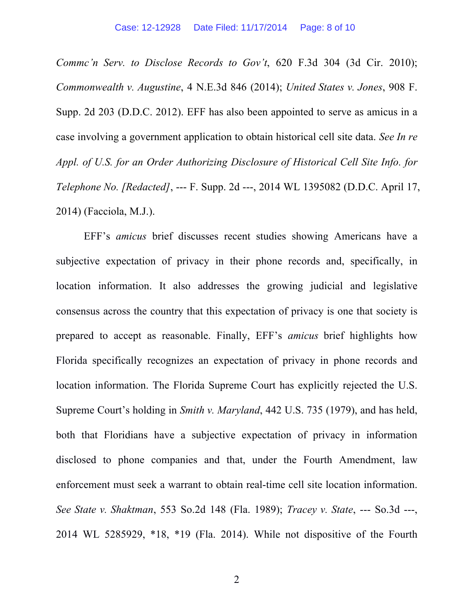*Commc'n Serv. to Disclose Records to Gov't*, 620 F.3d 304 (3d Cir. 2010); *Commonwealth v. Augustine*, 4 N.E.3d 846 (2014); *United States v. Jones*, 908 F. Supp. 2d 203 (D.D.C. 2012). EFF has also been appointed to serve as amicus in a case involving a government application to obtain historical cell site data. *See In re Appl. of U.S. for an Order Authorizing Disclosure of Historical Cell Site Info. for Telephone No. [Redacted]*, --- F. Supp. 2d ---, 2014 WL 1395082 (D.D.C. April 17, 2014) (Facciola, M.J.).

EFF's *amicus* brief discusses recent studies showing Americans have a subjective expectation of privacy in their phone records and, specifically, in location information. It also addresses the growing judicial and legislative consensus across the country that this expectation of privacy is one that society is prepared to accept as reasonable. Finally, EFF's *amicus* brief highlights how Florida specifically recognizes an expectation of privacy in phone records and location information. The Florida Supreme Court has explicitly rejected the U.S. Supreme Court's holding in *Smith v. Maryland*, 442 U.S. 735 (1979), and has held, both that Floridians have a subjective expectation of privacy in information disclosed to phone companies and that, under the Fourth Amendment, law enforcement must seek a warrant to obtain real-time cell site location information. *See State v. Shaktman*, 553 So.2d 148 (Fla. 1989); *Tracey v. State*, --- So.3d ---, 2014 WL 5285929, \*18, \*19 (Fla. 2014). While not dispositive of the Fourth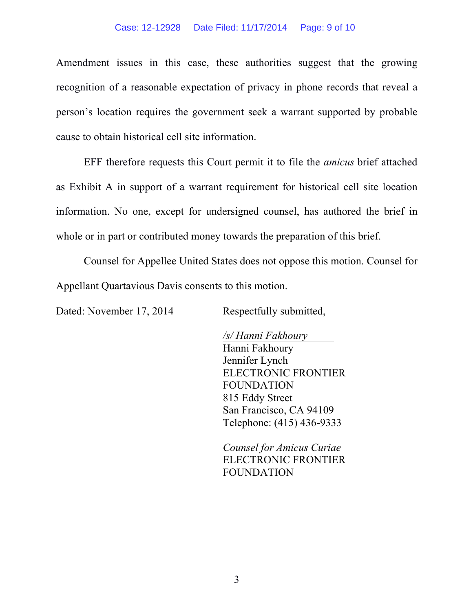#### Case: 12-12928 Date Filed: 11/17/2014 Page: 9 of 10

Amendment issues in this case, these authorities suggest that the growing recognition of a reasonable expectation of privacy in phone records that reveal a person's location requires the government seek a warrant supported by probable cause to obtain historical cell site information.

EFF therefore requests this Court permit it to file the *amicus* brief attached as Exhibit A in support of a warrant requirement for historical cell site location information. No one, except for undersigned counsel, has authored the brief in whole or in part or contributed money towards the preparation of this brief.

Counsel for Appellee United States does not oppose this motion. Counsel for Appellant Quartavious Davis consents to this motion.

Dated: November 17, 2014 Respectfully submitted,

*/s/ Hanni Fakhoury* Hanni Fakhoury Jennifer Lynch ELECTRONIC FRONTIER FOUNDATION 815 Eddy Street San Francisco, CA 94109 Telephone: (415) 436-9333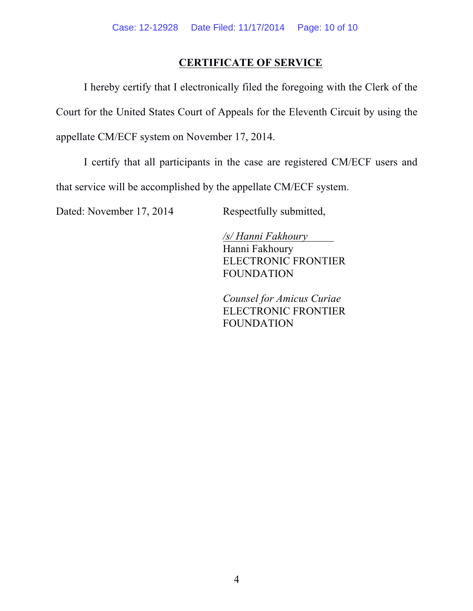# **CERTIFICATE OF SERVICE**

I hereby certify that I electronically filed the foregoing with the Clerk of the Court for the United States Court of Appeals for the Eleventh Circuit by using the appellate CM/ECF system on November 17, 2014.

I certify that all participants in the case are registered CM/ECF users and that service will be accomplished by the appellate CM/ECF system.

Dated: November 17, 2014 Respectfully submitted,

*/s/ Hanni Fakhoury* Hanni Fakhoury ELECTRONIC FRONTIER FOUNDATION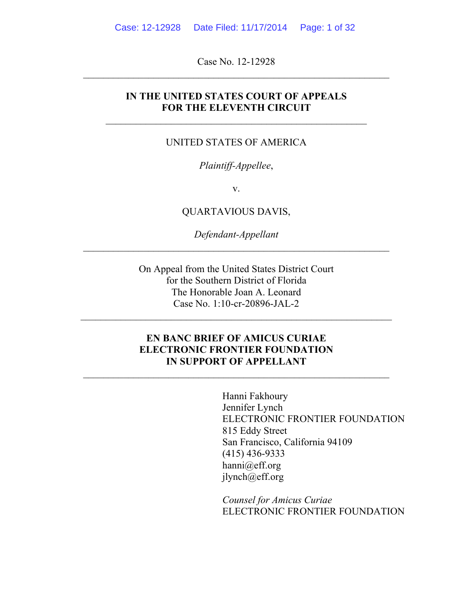Case No. 12-12928

## **IN THE UNITED STATES COURT OF APPEALS FOR THE ELEVENTH CIRCUIT**

### UNITED STATES OF AMERICA

### *Plaintiff-Appellee*,

v.

QUARTAVIOUS DAVIS,

*Defendant-Appellant*

On Appeal from the United States District Court for the Southern District of Florida The Honorable Joan A. Leonard Case No. 1:10-cr-20896-JAL-2

 $\mathcal{L}_\text{max} = \mathcal{L}_\text{max} = \mathcal{L}_\text{max} = \mathcal{L}_\text{max} = \mathcal{L}_\text{max} = \mathcal{L}_\text{max} = \mathcal{L}_\text{max} = \mathcal{L}_\text{max} = \mathcal{L}_\text{max} = \mathcal{L}_\text{max} = \mathcal{L}_\text{max} = \mathcal{L}_\text{max} = \mathcal{L}_\text{max} = \mathcal{L}_\text{max} = \mathcal{L}_\text{max} = \mathcal{L}_\text{max} = \mathcal{L}_\text{max} = \mathcal{L}_\text{max} = \mathcal{$ 

## **EN BANC BRIEF OF AMICUS CURIAE ELECTRONIC FRONTIER FOUNDATION IN SUPPORT OF APPELLANT**

 $\mathcal{L}_\text{max}$  and the contract of the contract of the contract of the contract of the contract of the contract of the contract of the contract of the contract of the contract of the contract of the contract of the contrac

Hanni Fakhoury Jennifer Lynch ELECTRONIC FRONTIER FOUNDATION 815 Eddy Street San Francisco, California 94109 (415) 436-9333 hanni@eff.org jlynch@eff.org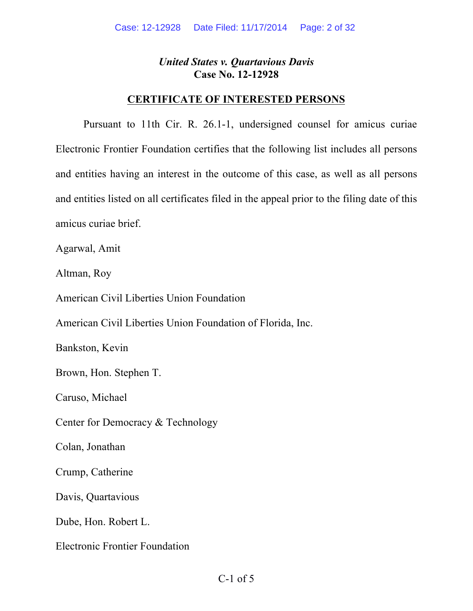## **CERTIFICATE OF INTERESTED PERSONS**

Pursuant to 11th Cir. R. 26.1-1, undersigned counsel for amicus curiae Electronic Frontier Foundation certifies that the following list includes all persons and entities having an interest in the outcome of this case, as well as all persons and entities listed on all certificates filed in the appeal prior to the filing date of this amicus curiae brief.

Agarwal, Amit

Altman, Roy

American Civil Liberties Union Foundation

American Civil Liberties Union Foundation of Florida, Inc.

Bankston, Kevin

Brown, Hon. Stephen T.

Caruso, Michael

Center for Democracy & Technology

Colan, Jonathan

Crump, Catherine

Davis, Quartavious

Dube, Hon. Robert L.

Electronic Frontier Foundation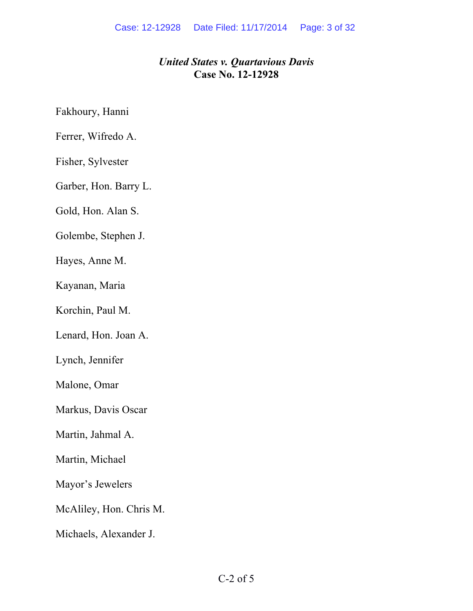Fakhoury, Hanni

Ferrer, Wifredo A.

Fisher, Sylvester

Garber, Hon. Barry L.

Gold, Hon. Alan S.

Golembe, Stephen J.

Hayes, Anne M.

Kayanan, Maria

Korchin, Paul M.

Lenard, Hon. Joan A.

Lynch, Jennifer

Malone, Omar

Markus, Davis Oscar

Martin, Jahmal A.

Martin, Michael

Mayor's Jewelers

McAliley, Hon. Chris M.

Michaels, Alexander J.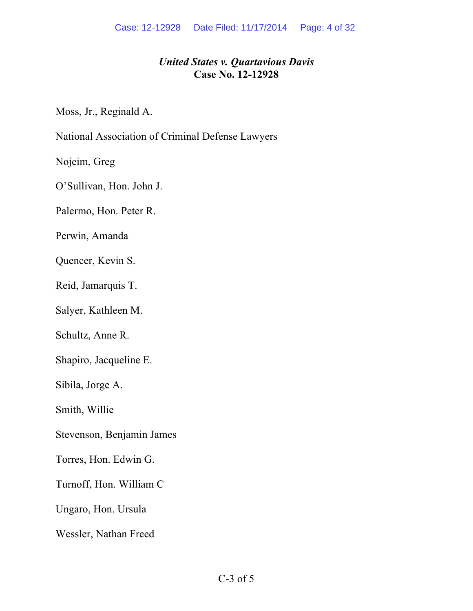Moss, Jr., Reginald A.

National Association of Criminal Defense Lawyers

Nojeim, Greg

O'Sullivan, Hon. John J.

Palermo, Hon. Peter R.

Perwin, Amanda

Quencer, Kevin S.

Reid, Jamarquis T.

Salyer, Kathleen M.

Schultz, Anne R.

Shapiro, Jacqueline E.

Sibila, Jorge A.

Smith, Willie

Stevenson, Benjamin James

Torres, Hon. Edwin G.

Turnoff, Hon. William C

Ungaro, Hon. Ursula

Wessler, Nathan Freed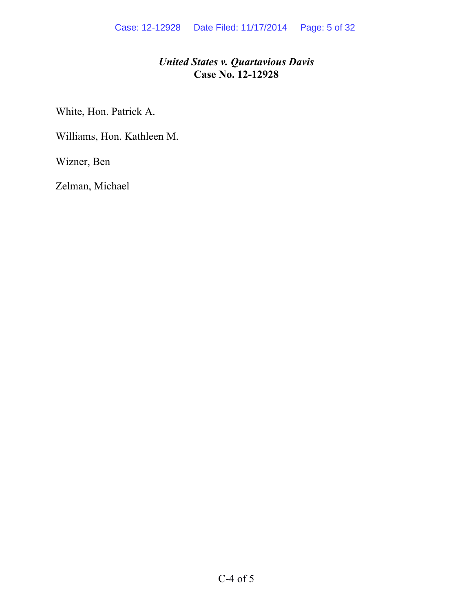White, Hon. Patrick A.

Williams, Hon. Kathleen M.

Wizner, Ben

Zelman, Michael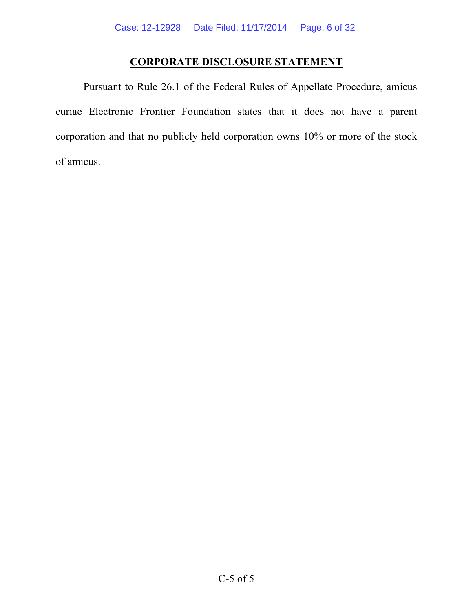## **CORPORATE DISCLOSURE STATEMENT**

Pursuant to Rule 26.1 of the Federal Rules of Appellate Procedure, amicus curiae Electronic Frontier Foundation states that it does not have a parent corporation and that no publicly held corporation owns 10% or more of the stock of amicus.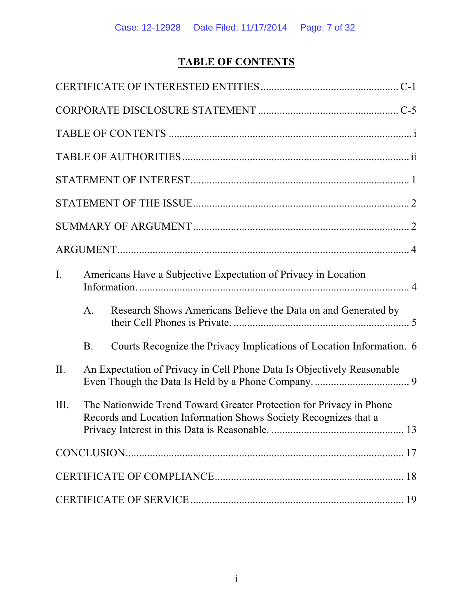# **TABLE OF CONTENTS**

| I.   | Americans Have a Subjective Expectation of Privacy in Location                                                                          |                                                                        |  |  |
|------|-----------------------------------------------------------------------------------------------------------------------------------------|------------------------------------------------------------------------|--|--|
|      | A.                                                                                                                                      | Research Shows Americans Believe the Data on and Generated by          |  |  |
|      | <b>B</b> .                                                                                                                              | Courts Recognize the Privacy Implications of Location Information. 6   |  |  |
| II.  |                                                                                                                                         | An Expectation of Privacy in Cell Phone Data Is Objectively Reasonable |  |  |
| III. | The Nationwide Trend Toward Greater Protection for Privacy in Phone<br>Records and Location Information Shows Society Recognizes that a |                                                                        |  |  |
|      |                                                                                                                                         |                                                                        |  |  |
|      |                                                                                                                                         |                                                                        |  |  |
|      |                                                                                                                                         |                                                                        |  |  |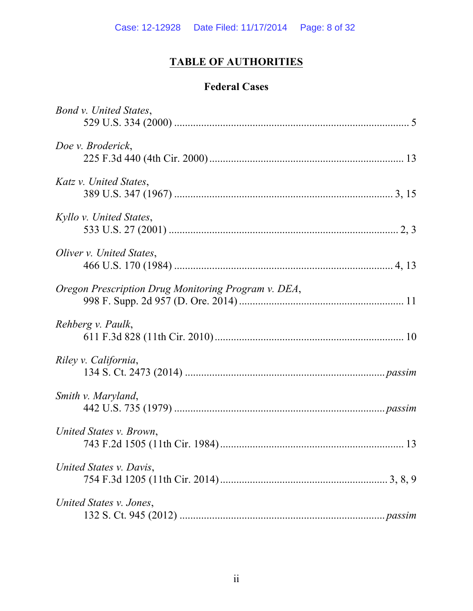# **TABLE OF AUTHORITIES**

# **Federal Cases**

| Bond v. United States,                              |  |
|-----------------------------------------------------|--|
|                                                     |  |
| Doe v. Broderick,                                   |  |
|                                                     |  |
| Katz v. United States,                              |  |
|                                                     |  |
| Kyllo v. United States,                             |  |
|                                                     |  |
| Oliver v. United States,                            |  |
|                                                     |  |
| Oregon Prescription Drug Monitoring Program v. DEA, |  |
|                                                     |  |
| Rehberg v. Paulk,                                   |  |
|                                                     |  |
| Riley v. California,                                |  |
|                                                     |  |
| Smith v. Maryland,                                  |  |
|                                                     |  |
| United States v. Brown,                             |  |
|                                                     |  |
| United States v. Davis,                             |  |
|                                                     |  |
| United States v. Jones,                             |  |
|                                                     |  |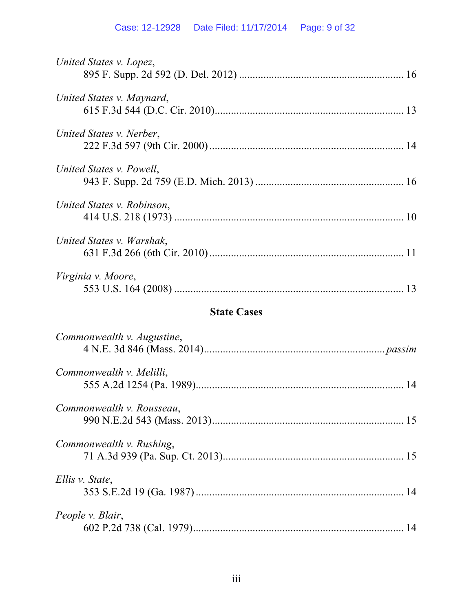# Case: 12-12928 Date Filed: 11/17/2014 Page: 9 of 32

| United States v. Lopez,    |    |
|----------------------------|----|
| United States v. Maynard,  |    |
| United States v. Nerber,   |    |
| United States v. Powell,   |    |
| United States v. Robinson, |    |
| United States v. Warshak,  |    |
| Virginia v. Moore,         | 13 |

# **State Cases**

| Commonwealth v. Augustine, |  |
|----------------------------|--|
| Commonwealth v. Melilli,   |  |
| Commonwealth v. Rousseau,  |  |
| Commonwealth v. Rushing,   |  |
| Ellis v. State,            |  |
| People v. Blair,           |  |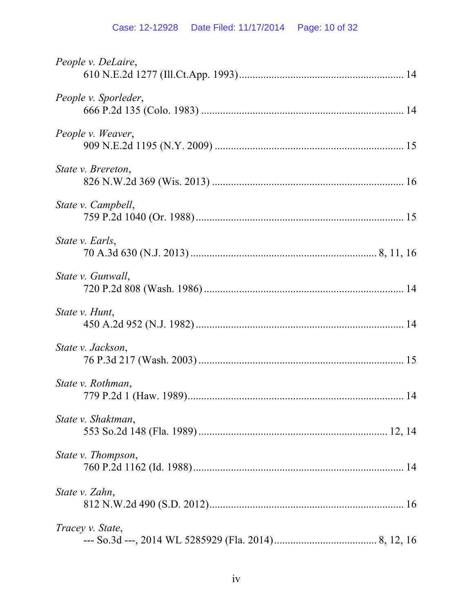# Case: 12-12928 Date Filed: 11/17/2014 Page: 10 of 32

| People v. DeLaire,   |  |
|----------------------|--|
| People v. Sporleder, |  |
| People v. Weaver,    |  |
| State v. Brereton,   |  |
| State v. Campbell,   |  |
| State v. Earls,      |  |
| State v. Gunwall,    |  |
| State v. Hunt,       |  |
| State v. Jackson,    |  |
| State v. Rothman,    |  |
| State v. Shaktman,   |  |
| State v. Thompson,   |  |
| State v. Zahn,       |  |
| Tracey v. State,     |  |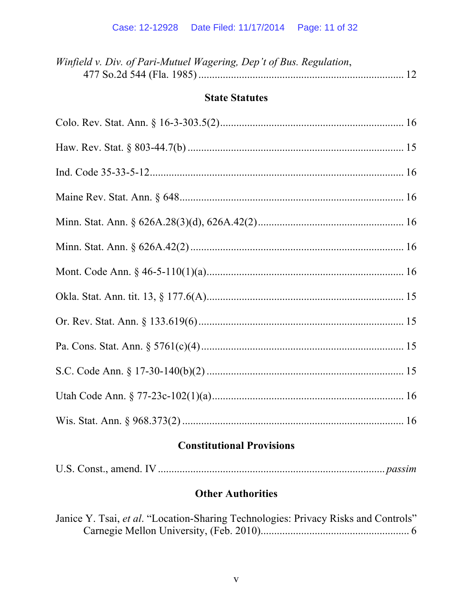| Winfield v. Div. of Pari-Mutuel Wagering, Dep't of Bus. Regulation, |  |
|---------------------------------------------------------------------|--|
|                                                                     |  |

## **State Statutes**

# **Constitutional Provisions**

# **Other Authorities**

| Janice Y. Tsai, et al. "Location-Sharing Technologies: Privacy Risks and Controls" |  |  |
|------------------------------------------------------------------------------------|--|--|
|                                                                                    |  |  |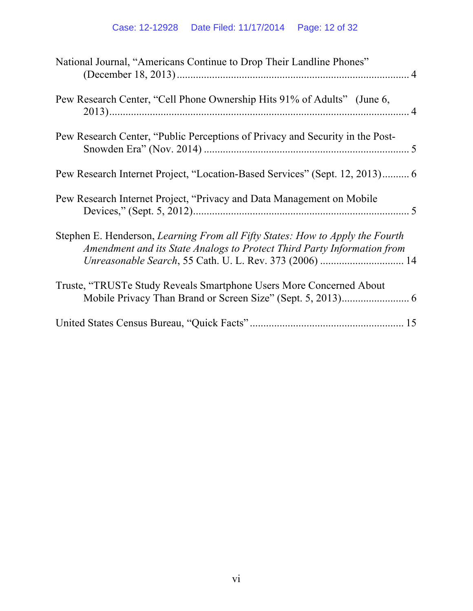| National Journal, "Americans Continue to Drop Their Landline Phones"                                                                                     |  |
|----------------------------------------------------------------------------------------------------------------------------------------------------------|--|
| Pew Research Center, "Cell Phone Ownership Hits 91% of Adults" (June 6,                                                                                  |  |
| Pew Research Center, "Public Perceptions of Privacy and Security in the Post-                                                                            |  |
| Pew Research Internet Project, "Location-Based Services" (Sept. 12, 2013) 6                                                                              |  |
| Pew Research Internet Project, "Privacy and Data Management on Mobile"                                                                                   |  |
| Stephen E. Henderson, Learning From all Fifty States: How to Apply the Fourth<br>Amendment and its State Analogs to Protect Third Party Information from |  |
| Truste, "TRUSTe Study Reveals Smartphone Users More Concerned About                                                                                      |  |
|                                                                                                                                                          |  |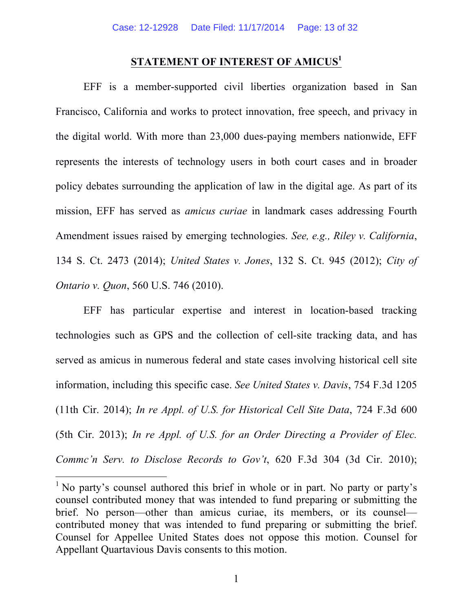## **STATEMENT OF INTEREST OF AMICUS<sup>1</sup>**

EFF is a member-supported civil liberties organization based in San Francisco, California and works to protect innovation, free speech, and privacy in the digital world. With more than 23,000 dues-paying members nationwide, EFF represents the interests of technology users in both court cases and in broader policy debates surrounding the application of law in the digital age. As part of its mission, EFF has served as *amicus curiae* in landmark cases addressing Fourth Amendment issues raised by emerging technologies. *See, e.g., Riley v. California*, 134 S. Ct. 2473 (2014); *United States v. Jones*, 132 S. Ct. 945 (2012); *City of Ontario v. Quon*, 560 U.S. 746 (2010).

EFF has particular expertise and interest in location-based tracking technologies such as GPS and the collection of cell-site tracking data, and has served as amicus in numerous federal and state cases involving historical cell site information, including this specific case. *See United States v. Davis*, 754 F.3d 1205 (11th Cir. 2014); *In re Appl. of U.S. for Historical Cell Site Data*, 724 F.3d 600 (5th Cir. 2013); *In re Appl. of U.S. for an Order Directing a Provider of Elec. Commc'n Serv. to Disclose Records to Gov't*, 620 F.3d 304 (3d Cir. 2010);

<sup>&</sup>lt;sup>1</sup> No party's counsel authored this brief in whole or in part. No party or party's counsel contributed money that was intended to fund preparing or submitting the brief. No person—other than amicus curiae, its members, or its counsel contributed money that was intended to fund preparing or submitting the brief. Counsel for Appellee United States does not oppose this motion. Counsel for Appellant Quartavious Davis consents to this motion.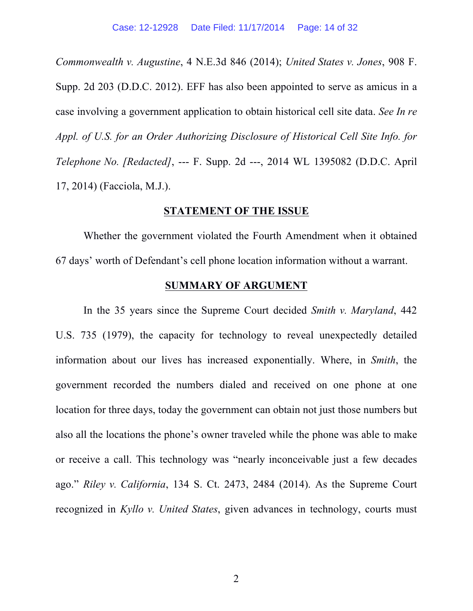*Commonwealth v. Augustine*, 4 N.E.3d 846 (2014); *United States v. Jones*, 908 F. Supp. 2d 203 (D.D.C. 2012). EFF has also been appointed to serve as amicus in a case involving a government application to obtain historical cell site data. *See In re Appl. of U.S. for an Order Authorizing Disclosure of Historical Cell Site Info. for Telephone No. [Redacted]*, --- F. Supp. 2d ---, 2014 WL 1395082 (D.D.C. April 17, 2014) (Facciola, M.J.).

#### **STATEMENT OF THE ISSUE**

Whether the government violated the Fourth Amendment when it obtained 67 days' worth of Defendant's cell phone location information without a warrant.

#### **SUMMARY OF ARGUMENT**

In the 35 years since the Supreme Court decided *Smith v. Maryland*, 442 U.S. 735 (1979), the capacity for technology to reveal unexpectedly detailed information about our lives has increased exponentially. Where, in *Smith*, the government recorded the numbers dialed and received on one phone at one location for three days, today the government can obtain not just those numbers but also all the locations the phone's owner traveled while the phone was able to make or receive a call. This technology was "nearly inconceivable just a few decades ago." *Riley v. California*, 134 S. Ct. 2473, 2484 (2014). As the Supreme Court recognized in *Kyllo v. United States*, given advances in technology, courts must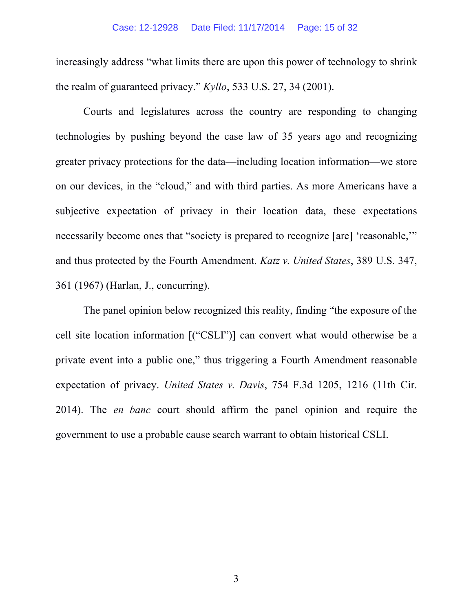increasingly address "what limits there are upon this power of technology to shrink the realm of guaranteed privacy." *Kyllo*, 533 U.S. 27, 34 (2001).

Courts and legislatures across the country are responding to changing technologies by pushing beyond the case law of 35 years ago and recognizing greater privacy protections for the data—including location information—we store on our devices, in the "cloud," and with third parties. As more Americans have a subjective expectation of privacy in their location data, these expectations necessarily become ones that "society is prepared to recognize [are] 'reasonable,'" and thus protected by the Fourth Amendment. *Katz v. United States*, 389 U.S. 347, 361 (1967) (Harlan, J., concurring).

The panel opinion below recognized this reality, finding "the exposure of the cell site location information [("CSLI")] can convert what would otherwise be a private event into a public one," thus triggering a Fourth Amendment reasonable expectation of privacy. *United States v. Davis*, 754 F.3d 1205, 1216 (11th Cir. 2014). The *en banc* court should affirm the panel opinion and require the government to use a probable cause search warrant to obtain historical CSLI.

3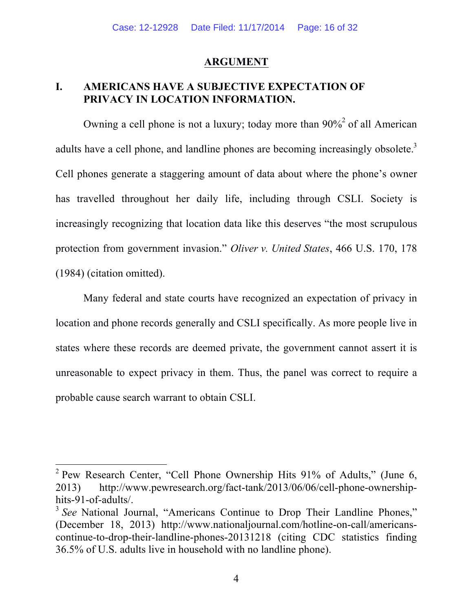### **ARGUMENT**

## **I. AMERICANS HAVE A SUBJECTIVE EXPECTATION OF PRIVACY IN LOCATION INFORMATION.**

Owning a cell phone is not a luxury; today more than  $90\frac{6}{3}$  of all American adults have a cell phone, and landline phones are becoming increasingly obsolete.<sup>3</sup> Cell phones generate a staggering amount of data about where the phone's owner has travelled throughout her daily life, including through CSLI. Society is increasingly recognizing that location data like this deserves "the most scrupulous protection from government invasion." *Oliver v. United States*, 466 U.S. 170, 178 (1984) (citation omitted).

Many federal and state courts have recognized an expectation of privacy in location and phone records generally and CSLI specifically. As more people live in states where these records are deemed private, the government cannot assert it is unreasonable to expect privacy in them. Thus, the panel was correct to require a probable cause search warrant to obtain CSLI.

<sup>&</sup>lt;sup>2</sup> Pew Research Center, "Cell Phone Ownership Hits 91% of Adults," (June 6, 2013) http://www.pewresearch.org/fact-tank/2013/06/06/cell-phone-ownershiphits-91-of-adults/.

<sup>&</sup>lt;sup>3</sup> See National Journal, "Americans Continue to Drop Their Landline Phones," (December 18, 2013) http://www.nationaljournal.com/hotline-on-call/americanscontinue-to-drop-their-landline-phones-20131218 (citing CDC statistics finding 36.5% of U.S. adults live in household with no landline phone).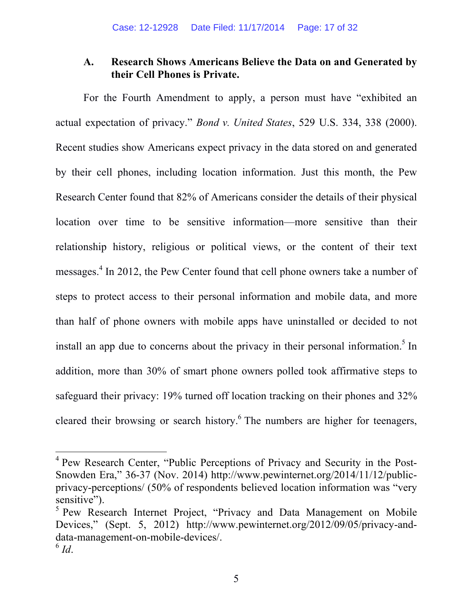## **A. Research Shows Americans Believe the Data on and Generated by their Cell Phones is Private.**

For the Fourth Amendment to apply, a person must have "exhibited an actual expectation of privacy." *Bond v. United States*, 529 U.S. 334, 338 (2000). Recent studies show Americans expect privacy in the data stored on and generated by their cell phones, including location information. Just this month, the Pew Research Center found that 82% of Americans consider the details of their physical location over time to be sensitive information—more sensitive than their relationship history, religious or political views, or the content of their text messages. <sup>4</sup> In 2012, the Pew Center found that cell phone owners take a number of steps to protect access to their personal information and mobile data, and more than half of phone owners with mobile apps have uninstalled or decided to not install an app due to concerns about the privacy in their personal information.<sup>5</sup> In addition, more than 30% of smart phone owners polled took affirmative steps to safeguard their privacy: 19% turned off location tracking on their phones and 32% cleared their browsing or search history.<sup>6</sup> The numbers are higher for teenagers,

 <sup>4</sup> Pew Research Center, "Public Perceptions of Privacy and Security in the Post-Snowden Era," 36-37 (Nov. 2014) http://www.pewinternet.org/2014/11/12/publicprivacy-perceptions/ (50% of respondents believed location information was "very sensitive").

<sup>&</sup>lt;sup>5</sup> Pew Research Internet Project, "Privacy and Data Management on Mobile Devices," (Sept. 5, 2012) http://www.pewinternet.org/2012/09/05/privacy-anddata-management-on-mobile-devices/.  $^6$  *Id*.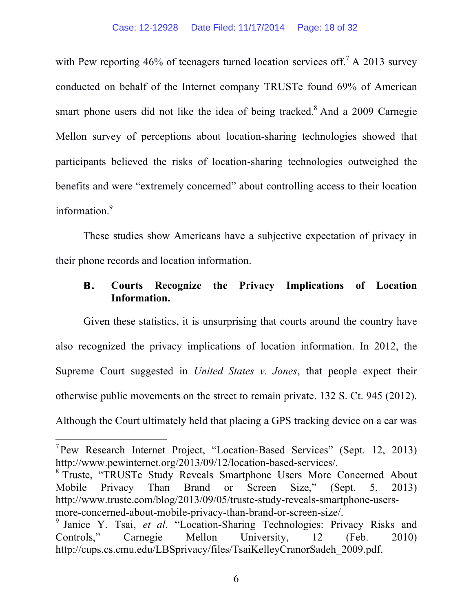with Pew reporting 46% of teenagers turned location services off.<sup>7</sup> A 2013 survey conducted on behalf of the Internet company TRUSTe found 69% of American smart phone users did not like the idea of being tracked.<sup>8</sup> And a 2009 Carnegie Mellon survey of perceptions about location-sharing technologies showed that participants believed the risks of location-sharing technologies outweighed the benefits and were "extremely concerned" about controlling access to their location information.<sup>9</sup>

These studies show Americans have a subjective expectation of privacy in their phone records and location information.

## **B. Courts Recognize the Privacy Implications of Location Information.**

Given these statistics, it is unsurprising that courts around the country have also recognized the privacy implications of location information. In 2012, the Supreme Court suggested in *United States v. Jones*, that people expect their otherwise public movements on the street to remain private. 132 S. Ct. 945 (2012). Although the Court ultimately held that placing a GPS tracking device on a car was

<sup>8</sup> Truste, "TRUSTe Study Reveals Smartphone Users More Concerned About Mobile Privacy Than Brand or Screen Size," (Sept. 5, 2013) http://www.truste.com/blog/2013/09/05/truste-study-reveals-smartphone-usersmore-concerned-about-mobile-privacy-than-brand-or-screen-size/.

<sup>&</sup>lt;sup>7</sup> Pew Research Internet Project, "Location-Based Services" (Sept. 12, 2013) http://www.pewinternet.org/2013/09/12/location-based-services/.

<sup>9</sup> Janice Y. Tsai, *et al*. "Location-Sharing Technologies: Privacy Risks and Controls," Carnegie Mellon University, 12 (Feb. 2010) http://cups.cs.cmu.edu/LBSprivacy/files/TsaiKelleyCranorSadeh\_2009.pdf.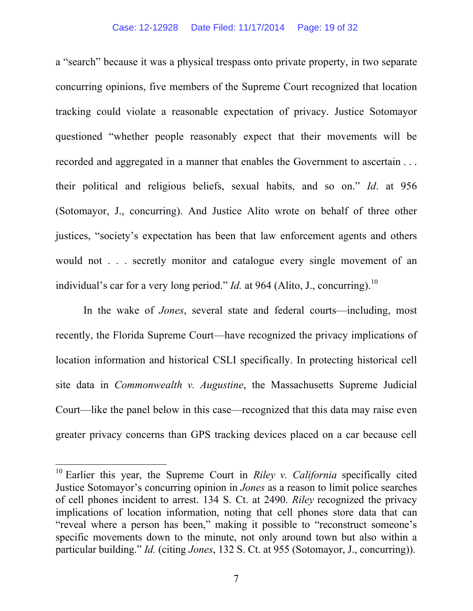#### Case: 12-12928 Date Filed: 11/17/2014 Page: 19 of 32

a "search" because it was a physical trespass onto private property, in two separate concurring opinions, five members of the Supreme Court recognized that location tracking could violate a reasonable expectation of privacy. Justice Sotomayor questioned "whether people reasonably expect that their movements will be recorded and aggregated in a manner that enables the Government to ascertain . . . their political and religious beliefs, sexual habits, and so on." *Id*. at 956 (Sotomayor, J., concurring). And Justice Alito wrote on behalf of three other justices, "society's expectation has been that law enforcement agents and others would not . . . secretly monitor and catalogue every single movement of an individual's car for a very long period." *Id.* at 964 (Alito, J., concurring).<sup>10</sup>

In the wake of *Jones*, several state and federal courts—including, most recently, the Florida Supreme Court—have recognized the privacy implications of location information and historical CSLI specifically. In protecting historical cell site data in *Commonwealth v. Augustine*, the Massachusetts Supreme Judicial Court—like the panel below in this case—recognized that this data may raise even greater privacy concerns than GPS tracking devices placed on a car because cell

 <sup>10</sup> Earlier this year, the Supreme Court in *Riley v. California* specifically cited Justice Sotomayor's concurring opinion in *Jones* as a reason to limit police searches of cell phones incident to arrest. 134 S. Ct. at 2490. *Riley* recognized the privacy implications of location information, noting that cell phones store data that can "reveal where a person has been," making it possible to "reconstruct someone's specific movements down to the minute, not only around town but also within a particular building." *Id.* (citing *Jones*, 132 S. Ct. at 955 (Sotomayor, J., concurring)).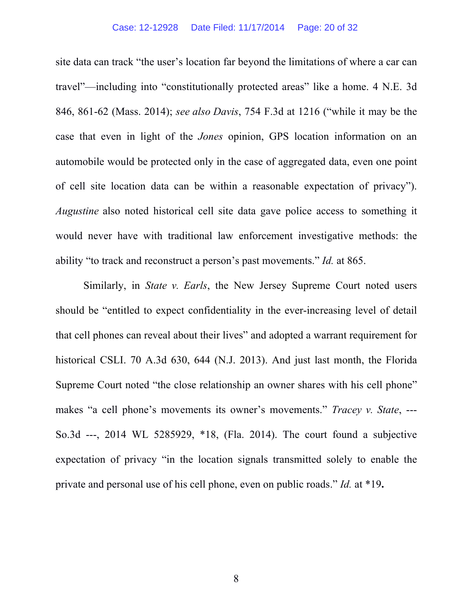#### Case: 12-12928 Date Filed: 11/17/2014 Page: 20 of 32

site data can track "the user's location far beyond the limitations of where a car can travel"—including into "constitutionally protected areas" like a home. 4 N.E. 3d 846, 861-62 (Mass. 2014); *see also Davis*, 754 F.3d at 1216 ("while it may be the case that even in light of the *Jones* opinion, GPS location information on an automobile would be protected only in the case of aggregated data, even one point of cell site location data can be within a reasonable expectation of privacy"). *Augustine* also noted historical cell site data gave police access to something it would never have with traditional law enforcement investigative methods: the ability "to track and reconstruct a person's past movements." *Id.* at 865.

Similarly, in *State v. Earls*, the New Jersey Supreme Court noted users should be "entitled to expect confidentiality in the ever-increasing level of detail that cell phones can reveal about their lives" and adopted a warrant requirement for historical CSLI. 70 A.3d 630, 644 (N.J. 2013). And just last month, the Florida Supreme Court noted "the close relationship an owner shares with his cell phone" makes "a cell phone's movements its owner's movements." *Tracey v. State*, --- So.3d ---, 2014 WL 5285929, \*18, (Fla. 2014). The court found a subjective expectation of privacy "in the location signals transmitted solely to enable the private and personal use of his cell phone, even on public roads." *Id.* at \*19**.**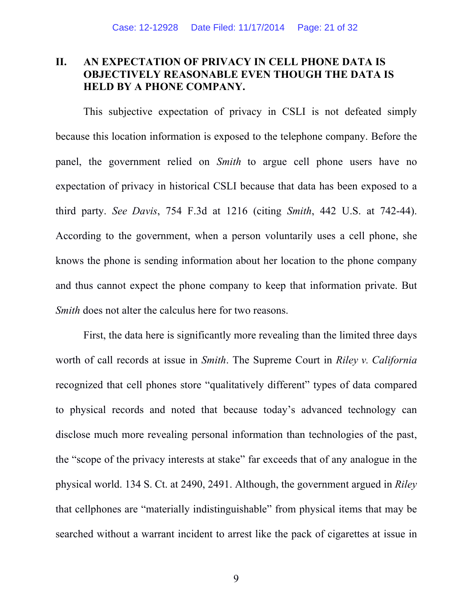## **II. AN EXPECTATION OF PRIVACY IN CELL PHONE DATA IS OBJECTIVELY REASONABLE EVEN THOUGH THE DATA IS HELD BY A PHONE COMPANY.**

This subjective expectation of privacy in CSLI is not defeated simply because this location information is exposed to the telephone company. Before the panel, the government relied on *Smith* to argue cell phone users have no expectation of privacy in historical CSLI because that data has been exposed to a third party. *See Davis*, 754 F.3d at 1216 (citing *Smith*, 442 U.S. at 742-44). According to the government, when a person voluntarily uses a cell phone, she knows the phone is sending information about her location to the phone company and thus cannot expect the phone company to keep that information private. But *Smith* does not alter the calculus here for two reasons.

First, the data here is significantly more revealing than the limited three days worth of call records at issue in *Smith*. The Supreme Court in *Riley v. California* recognized that cell phones store "qualitatively different" types of data compared to physical records and noted that because today's advanced technology can disclose much more revealing personal information than technologies of the past, the "scope of the privacy interests at stake" far exceeds that of any analogue in the physical world. 134 S. Ct. at 2490, 2491. Although, the government argued in *Riley* that cellphones are "materially indistinguishable" from physical items that may be searched without a warrant incident to arrest like the pack of cigarettes at issue in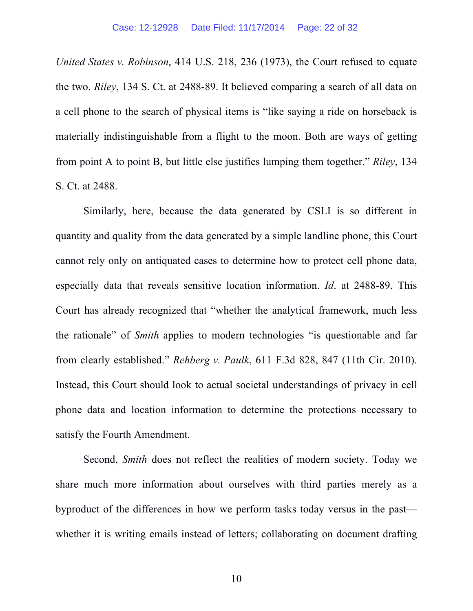*United States v. Robinson*, 414 U.S. 218, 236 (1973), the Court refused to equate the two. *Riley*, 134 S. Ct. at 2488-89. It believed comparing a search of all data on a cell phone to the search of physical items is "like saying a ride on horseback is materially indistinguishable from a flight to the moon. Both are ways of getting from point A to point B, but little else justifies lumping them together." *Riley*, 134 S. Ct. at 2488.

Similarly, here, because the data generated by CSLI is so different in quantity and quality from the data generated by a simple landline phone, this Court cannot rely only on antiquated cases to determine how to protect cell phone data, especially data that reveals sensitive location information. *Id*. at 2488-89. This Court has already recognized that "whether the analytical framework, much less the rationale" of *Smith* applies to modern technologies "is questionable and far from clearly established." *Rehberg v. Paulk*, 611 F.3d 828, 847 (11th Cir. 2010). Instead, this Court should look to actual societal understandings of privacy in cell phone data and location information to determine the protections necessary to satisfy the Fourth Amendment.

Second, *Smith* does not reflect the realities of modern society. Today we share much more information about ourselves with third parties merely as a byproduct of the differences in how we perform tasks today versus in the past whether it is writing emails instead of letters; collaborating on document drafting

10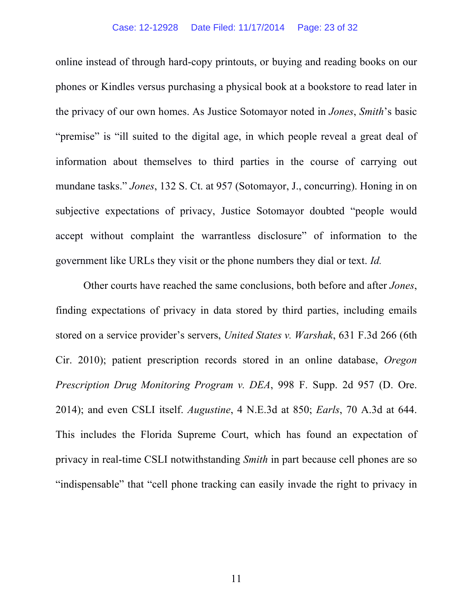online instead of through hard-copy printouts, or buying and reading books on our phones or Kindles versus purchasing a physical book at a bookstore to read later in the privacy of our own homes. As Justice Sotomayor noted in *Jones*, *Smith*'s basic "premise" is "ill suited to the digital age, in which people reveal a great deal of information about themselves to third parties in the course of carrying out mundane tasks." *Jones*, 132 S. Ct. at 957 (Sotomayor, J., concurring). Honing in on subjective expectations of privacy, Justice Sotomayor doubted "people would accept without complaint the warrantless disclosure" of information to the government like URLs they visit or the phone numbers they dial or text. *Id.*

Other courts have reached the same conclusions, both before and after *Jones*, finding expectations of privacy in data stored by third parties, including emails stored on a service provider's servers, *United States v. Warshak*, 631 F.3d 266 (6th Cir. 2010); patient prescription records stored in an online database, *Oregon Prescription Drug Monitoring Program v. DEA*, 998 F. Supp. 2d 957 (D. Ore. 2014); and even CSLI itself. *Augustine*, 4 N.E.3d at 850; *Earls*, 70 A.3d at 644. This includes the Florida Supreme Court, which has found an expectation of privacy in real-time CSLI notwithstanding *Smith* in part because cell phones are so "indispensable" that "cell phone tracking can easily invade the right to privacy in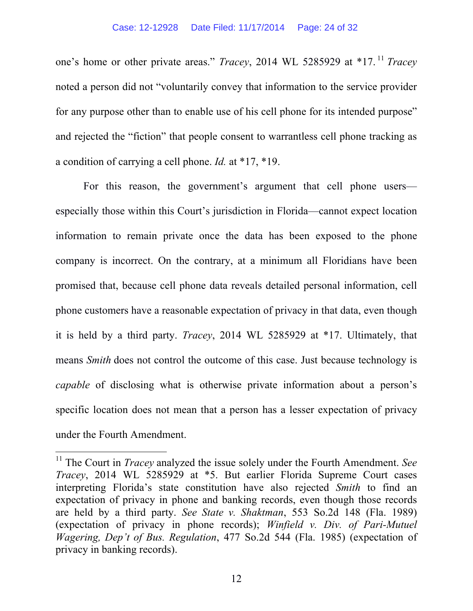one's home or other private areas." *Tracey*, 2014 WL 5285929 at \*17. <sup>11</sup> *Tracey* noted a person did not "voluntarily convey that information to the service provider for any purpose other than to enable use of his cell phone for its intended purpose" and rejected the "fiction" that people consent to warrantless cell phone tracking as a condition of carrying a cell phone. *Id.* at \*17, \*19.

For this reason, the government's argument that cell phone users especially those within this Court's jurisdiction in Florida—cannot expect location information to remain private once the data has been exposed to the phone company is incorrect. On the contrary, at a minimum all Floridians have been promised that, because cell phone data reveals detailed personal information, cell phone customers have a reasonable expectation of privacy in that data, even though it is held by a third party. *Tracey*, 2014 WL 5285929 at \*17. Ultimately, that means *Smith* does not control the outcome of this case. Just because technology is *capable* of disclosing what is otherwise private information about a person's specific location does not mean that a person has a lesser expectation of privacy under the Fourth Amendment.

 <sup>11</sup> The Court in *Tracey* analyzed the issue solely under the Fourth Amendment. *See Tracey*, 2014 WL 5285929 at \*5. But earlier Florida Supreme Court cases interpreting Florida's state constitution have also rejected *Smith* to find an expectation of privacy in phone and banking records, even though those records are held by a third party. *See State v. Shaktman*, 553 So.2d 148 (Fla. 1989) (expectation of privacy in phone records); *Winfield v. Div. of Pari-Mutuel Wagering, Dep't of Bus. Regulation*, 477 So.2d 544 (Fla. 1985) (expectation of privacy in banking records).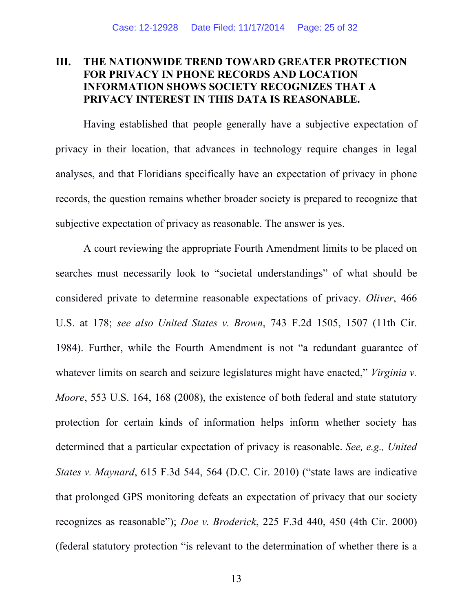## **III. THE NATIONWIDE TREND TOWARD GREATER PROTECTION FOR PRIVACY IN PHONE RECORDS AND LOCATION INFORMATION SHOWS SOCIETY RECOGNIZES THAT A PRIVACY INTEREST IN THIS DATA IS REASONABLE.**

Having established that people generally have a subjective expectation of privacy in their location, that advances in technology require changes in legal analyses, and that Floridians specifically have an expectation of privacy in phone records, the question remains whether broader society is prepared to recognize that subjective expectation of privacy as reasonable. The answer is yes.

A court reviewing the appropriate Fourth Amendment limits to be placed on searches must necessarily look to "societal understandings" of what should be considered private to determine reasonable expectations of privacy. *Oliver*, 466 U.S. at 178; *see also United States v. Brown*, 743 F.2d 1505, 1507 (11th Cir. 1984). Further, while the Fourth Amendment is not "a redundant guarantee of whatever limits on search and seizure legislatures might have enacted," *Virginia v. Moore*, 553 U.S. 164, 168 (2008), the existence of both federal and state statutory protection for certain kinds of information helps inform whether society has determined that a particular expectation of privacy is reasonable. *See, e.g., United States v. Maynard*, 615 F.3d 544, 564 (D.C. Cir. 2010) ("state laws are indicative that prolonged GPS monitoring defeats an expectation of privacy that our society recognizes as reasonable"); *Doe v. Broderick*, 225 F.3d 440, 450 (4th Cir. 2000) (federal statutory protection "is relevant to the determination of whether there is a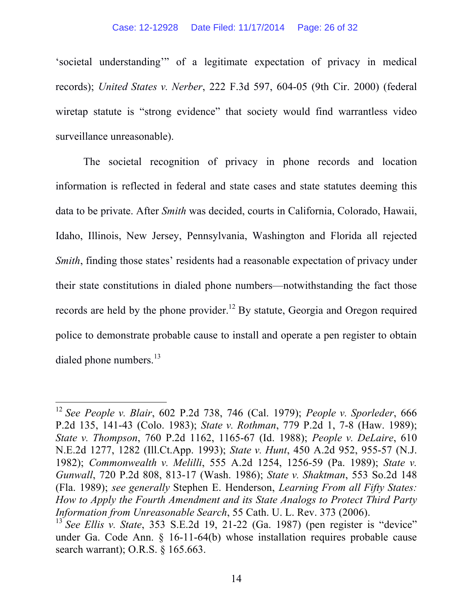#### Case: 12-12928 Date Filed: 11/17/2014 Page: 26 of 32

'societal understanding'" of a legitimate expectation of privacy in medical records); *United States v. Nerber*, 222 F.3d 597, 604-05 (9th Cir. 2000) (federal wiretap statute is "strong evidence" that society would find warrantless video surveillance unreasonable).

The societal recognition of privacy in phone records and location information is reflected in federal and state cases and state statutes deeming this data to be private. After *Smith* was decided, courts in California, Colorado, Hawaii, Idaho, Illinois, New Jersey, Pennsylvania, Washington and Florida all rejected *Smith*, finding those states' residents had a reasonable expectation of privacy under their state constitutions in dialed phone numbers—notwithstanding the fact those records are held by the phone provider.<sup>12</sup> By statute, Georgia and Oregon required police to demonstrate probable cause to install and operate a pen register to obtain dialed phone numbers. $^{13}$ 

 <sup>12</sup> *See People v. Blair*, 602 P.2d 738, 746 (Cal. 1979); *People v. Sporleder*, 666 P.2d 135, 141-43 (Colo. 1983); *State v. Rothman*, 779 P.2d 1, 7-8 (Haw. 1989); *State v. Thompson*, 760 P.2d 1162, 1165-67 (Id. 1988); *People v. DeLaire*, 610 N.E.2d 1277, 1282 (Ill.Ct.App. 1993); *State v. Hunt*, 450 A.2d 952, 955-57 (N.J. 1982); *Commonwealth v. Melilli*, 555 A.2d 1254, 1256-59 (Pa. 1989); *State v. Gunwall*, 720 P.2d 808, 813-17 (Wash. 1986); *State v. Shaktman*, 553 So.2d 148 (Fla. 1989); *see generally* Stephen E. Henderson, *Learning From all Fifty States: How to Apply the Fourth Amendment and its State Analogs to Protect Third Party Information from Unreasonable Search*, 55 Cath. U. L. Rev. 373 (2006).<br><sup>13</sup> *See Ellis v. State*, 353 S.E.2d 19, 21-22 (Ga. 1987) (pen register is "device"

under Ga. Code Ann. § 16-11-64(b) whose installation requires probable cause search warrant); O.R.S. § 165.663.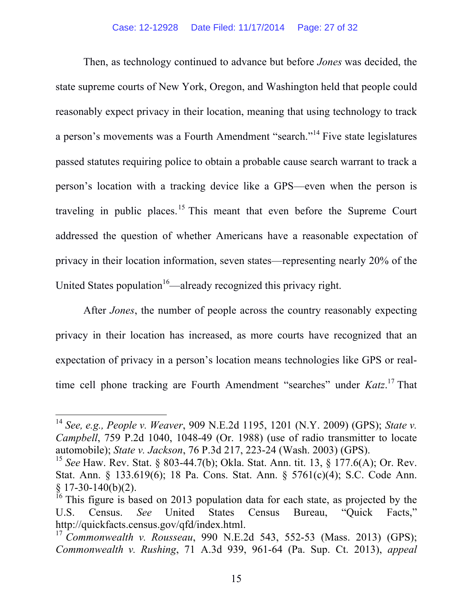Then, as technology continued to advance but before *Jones* was decided, the state supreme courts of New York, Oregon, and Washington held that people could reasonably expect privacy in their location, meaning that using technology to track a person's movements was a Fourth Amendment "search."<sup>14</sup> Five state legislatures passed statutes requiring police to obtain a probable cause search warrant to track a person's location with a tracking device like a GPS—even when the person is traveling in public places.<sup>15</sup> This meant that even before the Supreme Court addressed the question of whether Americans have a reasonable expectation of privacy in their location information, seven states—representing nearly 20% of the United States population<sup>16</sup>—already recognized this privacy right.

After *Jones*, the number of people across the country reasonably expecting privacy in their location has increased, as more courts have recognized that an expectation of privacy in a person's location means technologies like GPS or realtime cell phone tracking are Fourth Amendment "searches" under *Katz*. <sup>17</sup> That

 <sup>14</sup> *See, e.g., People v. Weaver*, 909 N.E.2d 1195, 1201 (N.Y. 2009) (GPS); *State v. Campbell*, 759 P.2d 1040, 1048-49 (Or. 1988) (use of radio transmitter to locate automobile); *State v. Jackson*, 76 P.3d 217, 223-24 (Wash. 2003) (GPS).

<sup>15</sup> *See* Haw. Rev. Stat. § 803-44.7(b); Okla. Stat. Ann. tit. 13, § 177.6(A); Or. Rev. Stat. Ann. § 133.619(6); 18 Pa. Cons. Stat. Ann. § 5761(c)(4); S.C. Code Ann. § 17-30-140(b)(2).<br><sup>16</sup> This figure is based on 2013 population data for each state, as projected by the

U.S. Census. *See* United States Census Bureau, "Quick Facts," http://quickfacts.census.gov/qfd/index.html.

<sup>17</sup> *Commonwealth v. Rousseau*, 990 N.E.2d 543, 552-53 (Mass. 2013) (GPS); *Commonwealth v. Rushing*, 71 A.3d 939, 961-64 (Pa. Sup. Ct. 2013), *appeal*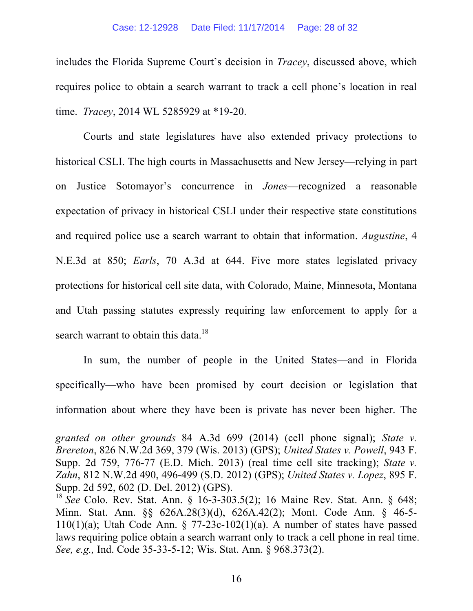#### Case: 12-12928 Date Filed: 11/17/2014 Page: 28 of 32

includes the Florida Supreme Court's decision in *Tracey*, discussed above, which requires police to obtain a search warrant to track a cell phone's location in real time. *Tracey*, 2014 WL 5285929 at \*19-20.

Courts and state legislatures have also extended privacy protections to historical CSLI. The high courts in Massachusetts and New Jersey—relying in part on Justice Sotomayor's concurrence in *Jones*—recognized a reasonable expectation of privacy in historical CSLI under their respective state constitutions and required police use a search warrant to obtain that information. *Augustine*, 4 N.E.3d at 850; *Earls*, 70 A.3d at 644. Five more states legislated privacy protections for historical cell site data, with Colorado, Maine, Minnesota, Montana and Utah passing statutes expressly requiring law enforcement to apply for a search warrant to obtain this data.<sup>18</sup>

In sum, the number of people in the United States—and in Florida specifically—who have been promised by court decision or legislation that information about where they have been is private has never been higher. The

<u> 1989 - Andrea San Andrea San Andrea San Andrea San Andrea San Andrea San Andrea San Andrea San Andrea San An</u>

*granted on other grounds* 84 A.3d 699 (2014) (cell phone signal); *State v. Brereton*, 826 N.W.2d 369, 379 (Wis. 2013) (GPS); *United States v. Powell*, 943 F. Supp. 2d 759, 776-77 (E.D. Mich. 2013) (real time cell site tracking); *State v. Zahn*, 812 N.W.2d 490, 496-499 (S.D. 2012) (GPS); *United States v. Lopez*, 895 F. Supp. 2d 592, 602 (D. Del. 2012) (GPS).

<sup>18</sup> *See* Colo. Rev. Stat. Ann. § 16-3-303.5(2); 16 Maine Rev. Stat. Ann. § 648; Minn. Stat. Ann. §§ 626A.28(3)(d), 626A.42(2); Mont. Code Ann. § 46-5- 110(1)(a); Utah Code Ann.  $\S$  77-23c-102(1)(a). A number of states have passed laws requiring police obtain a search warrant only to track a cell phone in real time. *See, e.g.,* Ind. Code 35-33-5-12; Wis. Stat. Ann. § 968.373(2).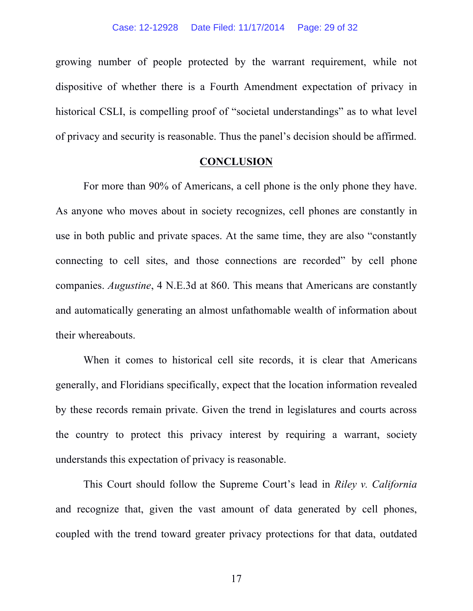growing number of people protected by the warrant requirement, while not dispositive of whether there is a Fourth Amendment expectation of privacy in historical CSLI, is compelling proof of "societal understandings" as to what level of privacy and security is reasonable. Thus the panel's decision should be affirmed.

### **CONCLUSION**

For more than 90% of Americans, a cell phone is the only phone they have. As anyone who moves about in society recognizes, cell phones are constantly in use in both public and private spaces. At the same time, they are also "constantly connecting to cell sites, and those connections are recorded" by cell phone companies. *Augustine*, 4 N.E.3d at 860. This means that Americans are constantly and automatically generating an almost unfathomable wealth of information about their whereabouts.

When it comes to historical cell site records, it is clear that Americans generally, and Floridians specifically, expect that the location information revealed by these records remain private. Given the trend in legislatures and courts across the country to protect this privacy interest by requiring a warrant, society understands this expectation of privacy is reasonable.

This Court should follow the Supreme Court's lead in *Riley v. California* and recognize that, given the vast amount of data generated by cell phones, coupled with the trend toward greater privacy protections for that data, outdated

17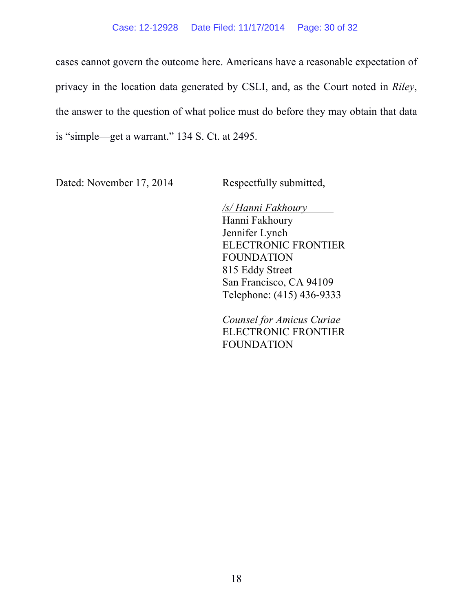cases cannot govern the outcome here. Americans have a reasonable expectation of privacy in the location data generated by CSLI, and, as the Court noted in *Riley*, the answer to the question of what police must do before they may obtain that data is "simple—get a warrant." 134 S. Ct. at 2495.

Dated: November 17, 2014 Respectfully submitted,

*/s/ Hanni Fakhoury* Hanni Fakhoury Jennifer Lynch ELECTRONIC FRONTIER FOUNDATION 815 Eddy Street San Francisco, CA 94109 Telephone: (415) 436-9333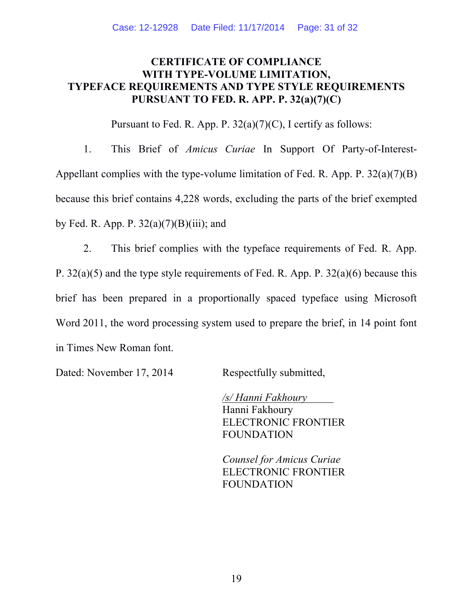## **CERTIFICATE OF COMPLIANCE WITH TYPE-VOLUME LIMITATION, TYPEFACE REQUIREMENTS AND TYPE STYLE REQUIREMENTS PURSUANT TO FED. R. APP. P. 32(a)(7)(C)**

Pursuant to Fed. R. App. P.  $32(a)(7)(C)$ , I certify as follows:

1. This Brief of *Amicus Curiae* In Support Of Party-of-Interest-Appellant complies with the type-volume limitation of Fed. R. App. P. 32(a)(7)(B) because this brief contains 4,228 words, excluding the parts of the brief exempted by Fed. R. App. P.  $32(a)(7)(B)(iii)$ ; and

2. This brief complies with the typeface requirements of Fed. R. App. P. 32(a)(5) and the type style requirements of Fed. R. App. P. 32(a)(6) because this brief has been prepared in a proportionally spaced typeface using Microsoft Word 2011, the word processing system used to prepare the brief, in 14 point font in Times New Roman font.

Dated: November 17, 2014 Respectfully submitted,

*/s/ Hanni Fakhoury* Hanni Fakhoury ELECTRONIC FRONTIER FOUNDATION